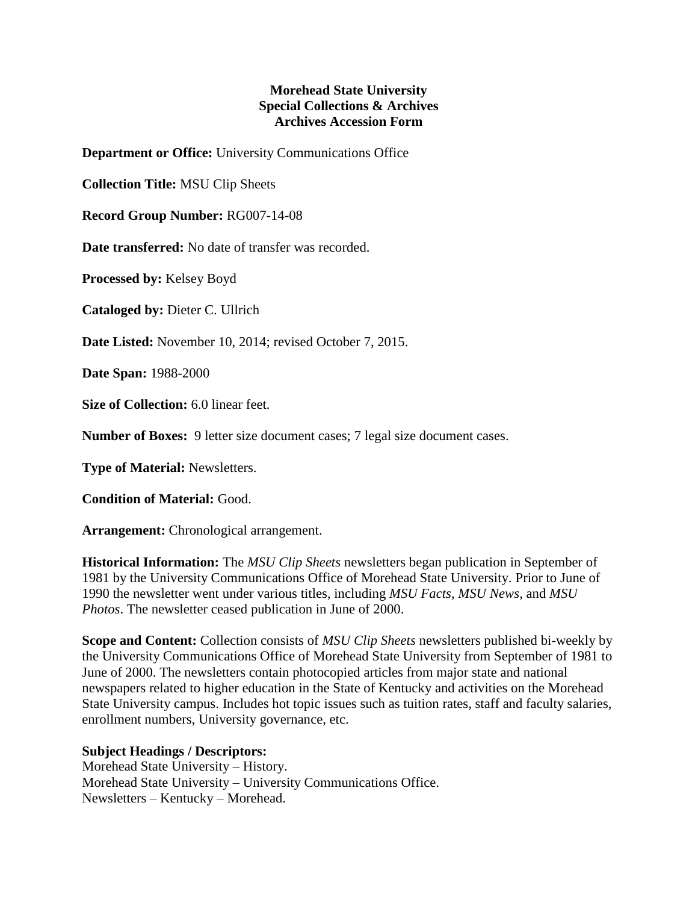## **Morehead State University Special Collections & Archives Archives Accession Form**

**Department or Office:** University Communications Office

**Collection Title:** MSU Clip Sheets

**Record Group Number:** RG007-14-08

**Date transferred:** No date of transfer was recorded.

**Processed by:** Kelsey Boyd

**Cataloged by:** Dieter C. Ullrich

**Date Listed:** November 10, 2014; revised October 7, 2015.

**Date Span:** 1988-2000

**Size of Collection:** 6.0 linear feet.

**Number of Boxes:** 9 letter size document cases; 7 legal size document cases.

**Type of Material:** Newsletters.

**Condition of Material:** Good.

**Arrangement:** Chronological arrangement.

**Historical Information:** The *MSU Clip Sheets* newsletters began publication in September of 1981 by the University Communications Office of Morehead State University. Prior to June of 1990 the newsletter went under various titles, including *MSU Facts*, *MSU News*, and *MSU Photos*. The newsletter ceased publication in June of 2000.

**Scope and Content:** Collection consists of *MSU Clip Sheets* newsletters published bi-weekly by the University Communications Office of Morehead State University from September of 1981 to June of 2000. The newsletters contain photocopied articles from major state and national newspapers related to higher education in the State of Kentucky and activities on the Morehead State University campus. Includes hot topic issues such as tuition rates, staff and faculty salaries, enrollment numbers, University governance, etc.

**Subject Headings / Descriptors:**

Morehead State University – History. Morehead State University – University Communications Office. Newsletters – Kentucky – Morehead.